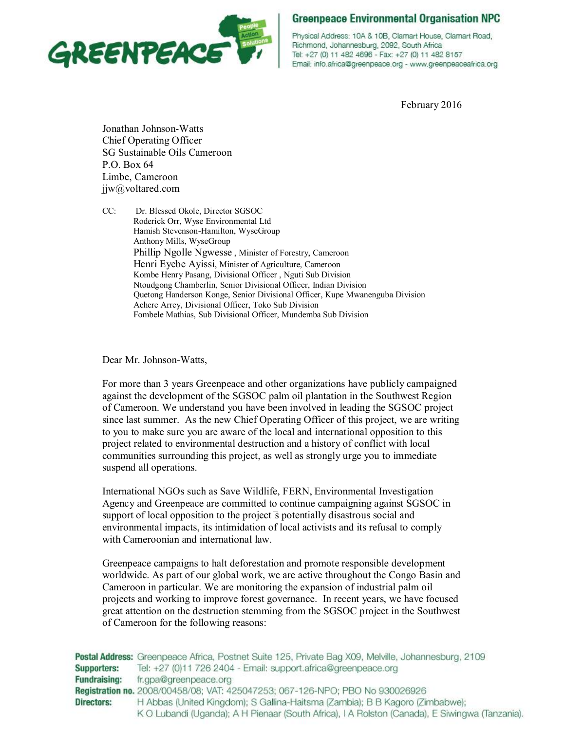

Physical Address: 10A & 10B, Clamart House, Clamart Road, Richmond, Johannesburg, 2092, South Africa Tel: +27 (0) 11 482 4696 - Fax: +27 (0) 11 482 8157 Email: info.africa@greenpeace.org - www.greenpeaceafrica.org

February 2016

Jonathan Johnson-Watts Chief Operating Officer SG Sustainable Oils Cameroon P.O. Box 64 Limbe, Cameroon jjw@voltared.com

CC: Dr. Blessed Okole, Director SGSOC Roderick Orr, Wyse Environmental Ltd Hamish Stevenson-Hamilton, WyseGroup Anthony Mills, WyseGroup Phillip Ngolle Ngwesse , Minister of Forestry, Cameroon Henri Eyebe Ayissi, Minister of Agriculture, Cameroon Kombe Henry Pasang, Divisional Officer , Nguti Sub Division Ntoudgong Chamberlin, Senior Divisional Officer, Indian Division Quetong Handerson Konge, Senior Divisional Officer, Kupe Mwanenguba Division Achere Arrey, Divisional Officer, Toko Sub Division Fombele Mathias, Sub Divisional Officer, Mundemba Sub Division

Dear Mr. Johnson-Watts,

For more than 3 years Greenpeace and other organizations have publicly campaigned against the development of the SGSOC palm oil plantation in the Southwest Region of Cameroon. We understand you have been involved in leading the SGSOC project since last summer. As the new Chief Operating Officer of this project, we are writing to you to make sure you are aware of the local and international opposition to this project related to environmental destruction and a history of conflict with local communities surrounding this project, as well as strongly urge you to immediate suspend all operations.

International NGOs such as Save Wildlife, FERN, Environmental Investigation Agency and Greenpeace are committed to continue campaigning against SGSOC in support of local opposition to the project<sup>3</sup> potentially disastrous social and environmental impacts, its intimidation of local activists and its refusal to comply with Cameroonian and international law.

Greenpeace campaigns to halt deforestation and promote responsible development worldwide. As part of our global work, we are active throughout the Congo Basin and Cameroon in particular. We are monitoring the expansion of industrial palm oil projects and working to improve forest governance. In recent years, we have focused great attention on the destruction stemming from the SGSOC project in the Southwest of Cameroon for the following reasons:

Postal Address: Greenpeace Africa, Postnet Suite 125, Private Bag X09, Melville, Johannesburg, 2109 Supporters: Tel: +27 (0)11 726 2404 - Email: support.africa@greenpeace.org **Fundraising:** fr.gpa@greenpeace.org Registration no. 2008/00458/08; VAT: 425047253; 067-126-NPO; PBO No 930026926 **Directors:** H Abbas (United Kingdom); S Gallina-Haitsma (Zambia); B B Kagoro (Zimbabwe); K O Lubandi (Uganda); A H Pienaar (South Africa), I A Rolston (Canada), E Siwingwa (Tanzania).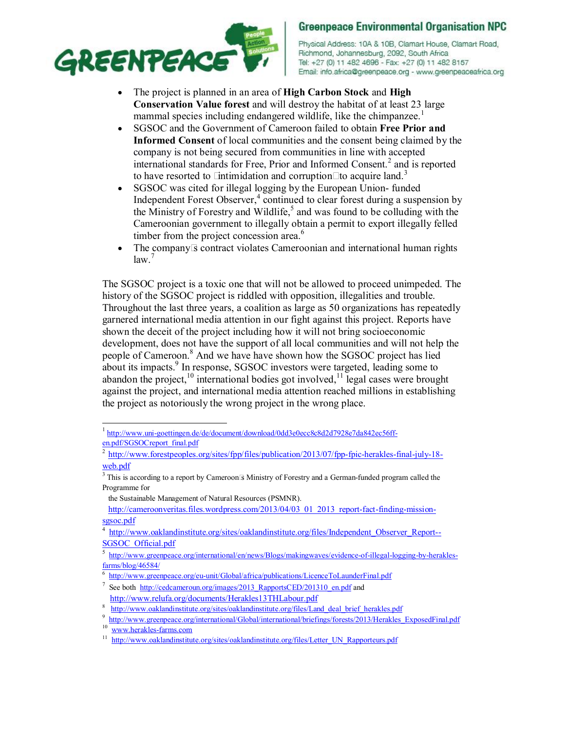

Physical Address: 10A & 10B, Clamart House, Clamart Road, Richmond, Johannesburg, 2092, South Africa Tel: +27 (0) 11 482 4696 - Fax: +27 (0) 11 482 8157 Email: info.africa@greenpeace.org - www.greenpeaceafrica.org

- The project is planned in an area of **High Carbon Stock** and **High Conservation Value forest** and will destroy the habitat of at least 23 large mammal species including endangered wildlife, like the chimpanzee.<sup>1</sup>
- SGSOC and the Government of Cameroon failed to obtain **Free Prior and Informed Consent** of local communities and the consent being claimed by the company is not being secured from communities in line with accepted international standards for Free, Prior and Informed Consent.<sup>2</sup> and is reported to have resorted to  $\Box$ ntimidation and corruption $\Box$ to acquire land.<sup>3</sup>
- SGSOC was cited for illegal logging by the European Union-funded Independent Forest Observer, <sup>4</sup> continued to clear forest during a suspension by the Ministry of Forestry and Wildlife, <sup>5</sup> and was found to be colluding with the Cameroonian government to illegally obtain a permit to export illegally felled timber from the project concession area.<sup>6</sup>
- The company<sup>3</sup> contract violates Cameroonian and international human rights  $law.<sup>7</sup>$

The SGSOC project is a toxic one that will not be allowed to proceed unimpeded. The history of the SGSOC project is riddled with opposition, illegalities and trouble. Throughout the last three years, a coalition as large as 50 organizations has repeatedly garnered international media attention in our fight against this project. Reports have shown the deceit of the project including how it will not bring socioeconomic development, does not have the support of all local communities and will not help the people of Cameroon.<sup>8</sup> And we have have shown how the SGSOC project has lied about its impacts.<sup>9</sup> In response, SGSOC investors were targeted, leading some to abandon the project, $10$  international bodies got involved, $11$  legal cases were brought against the project, and international media attention reached millions in establishing the project as notoriously the wrong project in the wrong place.

<sup>1</sup> http://www.uni-goettingen.de/de/document/download/0dd3e0ecc8c8d2d7928e7da842ec56ffen.pdf/SGSOCreport\_final.pdf

<sup>2</sup> http://www.forestpeoples.org/sites/fpp/files/publication/2013/07/fpp-fpic-herakles-final-july-18 web.pdf

<sup>&</sup>lt;sup>3</sup> This is according to a report by Cameroon<sup>[5]</sup> Ministry of Forestry and a German-funded program called the Programme for

the Sustainable Management of Natural Resources (PSMNR).

http://cameroonveritas.files.wordpress.com/2013/04/03\_01\_2013\_report-fact-finding-missionsgsoc.pdf

<sup>4</sup> http://www.oaklandinstitute.org/sites/oaklandinstitute.org/files/Independent\_Observer\_Report--SGSOC\_Official.pdf

<sup>5</sup> http://www.greenpeace.org/international/en/news/Blogs/makingwaves/evidence-of-illegal-logging-by-heraklesfarms/blog/46584/

<sup>6</sup> http://www.greenpeace.org/eu-unit/Global/africa/publications/LicenceToLaunderFinal.pdf

<sup>7</sup> See both http://cedcameroun.org/images/2013\_RapportsCED/201310\_en.pdf and

http://www.relufa.org/documents/Herakles13THLabour.pdf

<sup>8</sup> http://www.oaklandinstitute.org/sites/oaklandinstitute.org/files/Land\_deal\_brief\_herakles.pdf

<sup>9</sup> <sup>9</sup>http://www.greenpeace.org/international/Global/international/briefings/forests/2013/Herakles\_ExposedFinal.pdf<br><sup>10</sup>

www.herakles-farms.com

<sup>&</sup>lt;sup>11</sup> http://www.oaklandinstitute.org/sites/oaklandinstitute.org/files/Letter\_UN\_Rapporteurs.pdf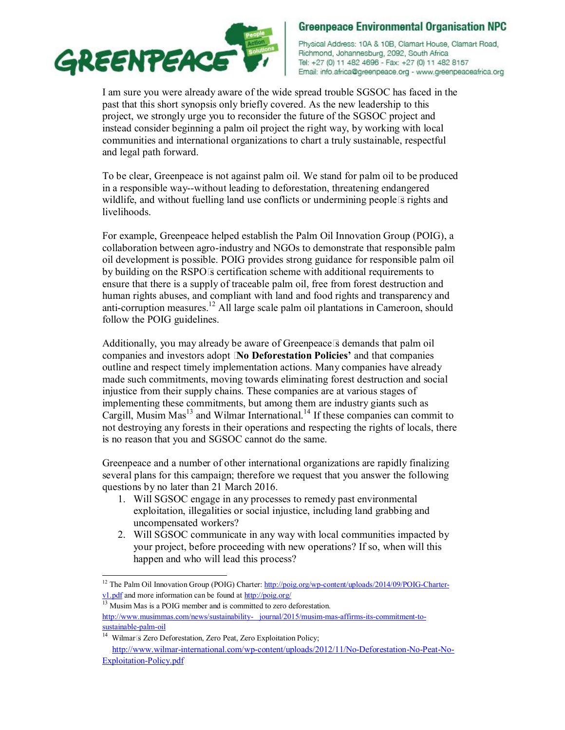

Physical Address: 10A & 10B, Clamart House, Clamart Road, Richmond, Johannesburg, 2092, South Africa Tel: +27 (0) 11 482 4696 - Fax: +27 (0) 11 482 8157 Email: info.africa@greenpeace.org - www.greenpeaceafrica.org

I am sure you were already aware of the wide spread trouble SGSOC has faced in the past that this short synopsis only briefly covered. As the new leadership to this project, we strongly urge you to reconsider the future of the SGSOC project and instead consider beginning a palm oil project the right way, by working with local communities and international organizations to chart a truly sustainable, respectful and legal path forward.

To be clear, Greenpeace is not against palm oil. We stand for palm oil to be produced in a responsible way--without leading to deforestation, threatening endangered wildlife, and without fuelling land use conflicts or undermining people  $\bar{s}$  rights and livelihoods.

For example, Greenpeace helped establish the Palm Oil Innovation Group (POIG), a collaboration between agro-industry and NGOs to demonstrate that responsible palm oil development is possible. POIG provides strong guidance for responsible palm oil by building on the RSPO $\overline{\mathbb{S}}$  certification scheme with additional requirements to ensure that there is a supply of traceable palm oil, free from forest destruction and human rights abuses, and compliant with land and food rights and transparency and anti-corruption measures.<sup>12</sup> All large scale palm oil plantations in Cameroon, should follow the POIG guidelines.

Additionally, you may already be aware of Greenpeace **S** demands that palm oil companies and investors adopt \$**No Deforestation Policies'** and that companies outline and respect timely implementation actions. Many companies have already made such commitments, moving towards eliminating forest destruction and social injustice from their supply chains. These companies are at various stages of implementing these commitments, but among them are industry giants such as Cargill, Musim  $Mas<sup>13</sup>$  and Wilmar International.<sup>14</sup> If these companies can commit to not destroying any forests in their operations and respecting the rights of locals, there is no reason that you and SGSOC cannot do the same.

Greenpeace and a number of other international organizations are rapidly finalizing several plans for this campaign; therefore we request that you answer the following questions by no later than 21 March 2016.

- 1. Will SGSOC engage in any processes to remedy past environmental exploitation, illegalities or social injustice, including land grabbing and uncompensated workers?
- 2. Will SGSOC communicate in any way with local communities impacted by your project, before proceeding with new operations? If so, when will this happen and who will lead this process?

<sup>&</sup>lt;sup>12</sup> The Palm Oil Innovation Group (POIG) Charter: http://poig.org/wp-content/uploads/2014/09/POIG-Charterv1.pdf and more information can be found at http://poig.org/

<sup>&</sup>lt;sup>13</sup> Musim Mas is a POIG member and is committed to zero deforestation.

http://www.musimmas.com/news/sustainability- journal/2015/musim-mas-affirms-its-commitment-tosustainable-palm-oil

<sup>&</sup>lt;sup>14</sup> Wilmar<sup>®</sup> Zero Deforestation, Zero Peat, Zero Exploitation Policy; http://www.wilmar-international.com/wp-content/uploads/2012/11/No-Deforestation-No-Peat-No-

Exploitation-Policy.pdf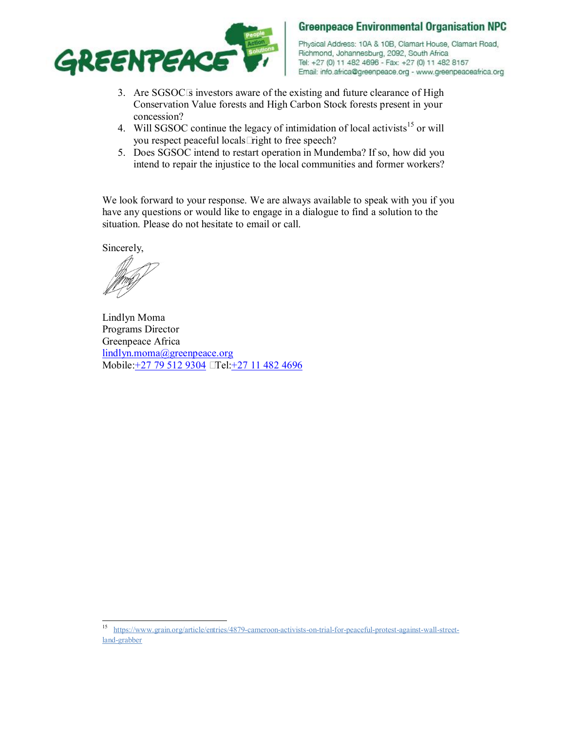

Physical Address: 10A & 10B, Clamart House, Clamart Road, Richmond, Johannesburg, 2092, South Africa Tel: +27 (0) 11 482 4696 - Fax: +27 (0) 11 482 8157 Email: info.africa@greenpeace.org - www.greenpeaceafrica.org

- 3. Are SGSOC<sup>I</sup>s investors aware of the existing and future clearance of High Conservation Value forests and High Carbon Stock forests present in your concession?
- 4. Will SGSOC continue the legacy of intimidation of local activists<sup>15</sup> or will you respect peaceful locals  $\Box$  right to free speech?
- 5. Does SGSOC intend to restart operation in Mundemba? If so, how did you intend to repair the injustice to the local communities and former workers?

We look forward to your response. We are always available to speak with you if you have any questions or would like to engage in a dialogue to find a solution to the situation. Please do not hesitate to email or call.

Sincerely,

Lindlyn Moma Programs Director Greenpeace Africa lindlyn.moma@greenpeace.org Mobile: +27 79 512 9304 [Tel: +27 11 482 4696]

15 https://www.grain.org/article/entries/4879-cameroon-activists-on-trial-for-peaceful-protest-against-wall-streetland-grabber